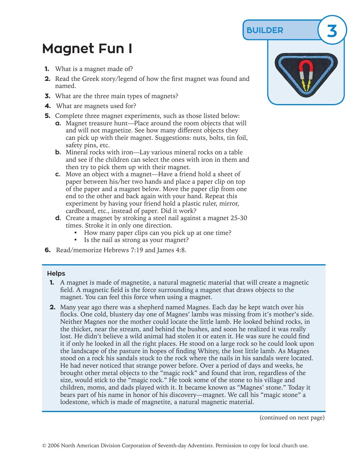## **BUILDER 3**

## **Magnet Fun I**

- **1.** What is a magnet made of?
- **2.** Read the Greek story/legend of how the first magnet was found and named.
- **3.** What are the three main types of magnets?
- **4.** What are magnets used for?
- **5.** Complete three magnet experiments, such as those listed below:
	- **a.** Magnet treasure hunt—Place around the room objects that will and will not magnetize. See how many different objects they can pick up with their magnet. Suggestions: nuts, bolts, tin foil, safety pins, etc.
	- **b.** Mineral rocks with iron—Lay various mineral rocks on a table and see if the children can select the ones with iron in them and then try to pick them up with their magnet.
	- **c.** Move an object with a magnet—Have a friend hold a sheet of paper between his/her two hands and place a paper clip on top of the paper and a magnet below. Move the paper clip from one end to the other and back again with your hand. Repeat this experiment by having your friend hold a plastic ruler, mirror, cardboard, etc., instead of paper. Did it work?
	- **d.** Create a magnet by stroking a steel nail against a magnet 25-30 times. Stroke it in only one direction.
		- How many paper clips can you pick up at one time?
		- Is the nail as strong as your magnet?
- **6.** Read/memorize Hebrews 7:19 and James 4:8.

## **Helps**

- **1.** A magnet is made of magnetite, a natural magnetic material that will create a magnetic field. A magnetic field is the force surrounding a magnet that draws objects to the magnet. You can feel this force when using a magnet.
- **2.** Many year ago there was a shepherd named Magnes. Each day he kept watch over his flocks. One cold, blustery day one of Magnes' lambs was missing from it's mother's side. Neither Magnes nor the mother could locate the little lamb. He looked behind rocks, in the thicket, near the stream, and behind the bushes, and soon he realized it was really lost. He didn't believe a wild animal had stolen it or eaten it. He was sure he could find it if only he looked in all the right places. He stood on a large rock so he could look upon the landscape of the pasture in hopes of finding Whitey, the lost little lamb. As Magnes stood on a rock his sandals stuck to the rock where the nails in his sandals were located. He had never noticed that strange power before. Over a period of days and weeks, he brought other metal objects to the "magic rock" and found that iron, regardless of the size, would stick to the "magic rock." He took some of the stone to his village and children, moms, and dads played with it. It became known as "Magnes' stone." Today it bears part of his name in honor of his discovery—magnet. We call his "magic stone" a lodestone, which is made of magnetite, a natural magnetic material.

(continued on next page)